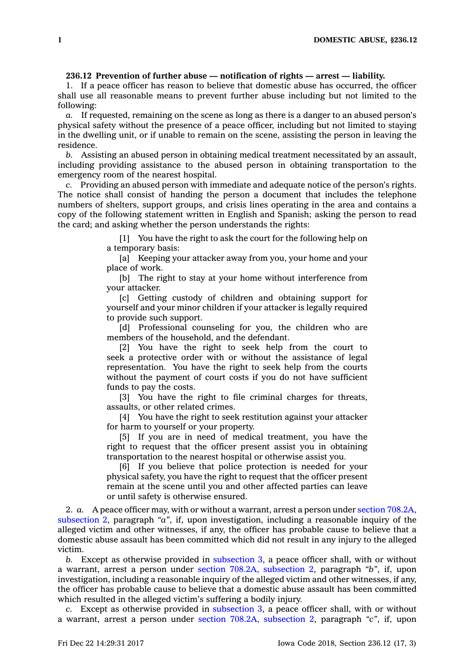## **236.12 Prevention of further abuse — notification of rights — arrest — liability.**

1. If <sup>a</sup> peace officer has reason to believe that domestic abuse has occurred, the officer shall use all reasonable means to prevent further abuse including but not limited to the following:

*a.* If requested, remaining on the scene as long as there is <sup>a</sup> danger to an abused person's physical safety without the presence of <sup>a</sup> peace officer, including but not limited to staying in the dwelling unit, or if unable to remain on the scene, assisting the person in leaving the residence.

*b.* Assisting an abused person in obtaining medical treatment necessitated by an assault, including providing assistance to the abused person in obtaining transportation to the emergency room of the nearest hospital.

*c.* Providing an abused person with immediate and adequate notice of the person's rights. The notice shall consist of handing the person <sup>a</sup> document that includes the telephone numbers of shelters, support groups, and crisis lines operating in the area and contains <sup>a</sup> copy of the following statement written in English and Spanish; asking the person to read the card; and asking whether the person understands the rights:

> [1] You have the right to ask the court for the following help on <sup>a</sup> temporary basis:

> [a] Keeping your attacker away from you, your home and your place of work.

> [b] The right to stay at your home without interference from your attacker.

> [c] Getting custody of children and obtaining support for yourself and your minor children if your attacker is legally required to provide such support.

> [d] Professional counseling for you, the children who are members of the household, and the defendant.

> [2] You have the right to seek help from the court to seek <sup>a</sup> protective order with or without the assistance of legal representation. You have the right to seek help from the courts without the payment of court costs if you do not have sufficient funds to pay the costs.

> [3] You have the right to file criminal charges for threats, assaults, or other related crimes.

> [4] You have the right to seek restitution against your attacker for harm to yourself or your property.

> [5] If you are in need of medical treatment, you have the right to request that the officer present assist you in obtaining transportation to the nearest hospital or otherwise assist you.

> [6] If you believe that police protection is needed for your physical safety, you have the right to request that the officer present remain at the scene until you and other affected parties can leave or until safety is otherwise ensured.

2. *a.* A peace officer may, with or without <sup>a</sup> warrant, arrest <sup>a</sup> person under section [708.2A,](https://www.legis.iowa.gov/docs/code/708.2A.pdf) [subsection](https://www.legis.iowa.gov/docs/code/708.2A.pdf) 2, paragraph *"a"*, if, upon investigation, including <sup>a</sup> reasonable inquiry of the alleged victim and other witnesses, if any, the officer has probable cause to believe that <sup>a</sup> domestic abuse assault has been committed which did not result in any injury to the alleged victim.

*b.* Except as otherwise provided in [subsection](https://www.legis.iowa.gov/docs/code/236.12.pdf) 3, <sup>a</sup> peace officer shall, with or without <sup>a</sup> warrant, arrest <sup>a</sup> person under section 708.2A, [subsection](https://www.legis.iowa.gov/docs/code/708.2A.pdf) 2, paragraph *"b"*, if, upon investigation, including <sup>a</sup> reasonable inquiry of the alleged victim and other witnesses, if any, the officer has probable cause to believe that <sup>a</sup> domestic abuse assault has been committed which resulted in the alleged victim's suffering <sup>a</sup> bodily injury.

*c.* Except as otherwise provided in [subsection](https://www.legis.iowa.gov/docs/code/236.12.pdf) 3, <sup>a</sup> peace officer shall, with or without <sup>a</sup> warrant, arrest <sup>a</sup> person under section 708.2A, [subsection](https://www.legis.iowa.gov/docs/code/708.2A.pdf) 2, paragraph *"c"*, if, upon